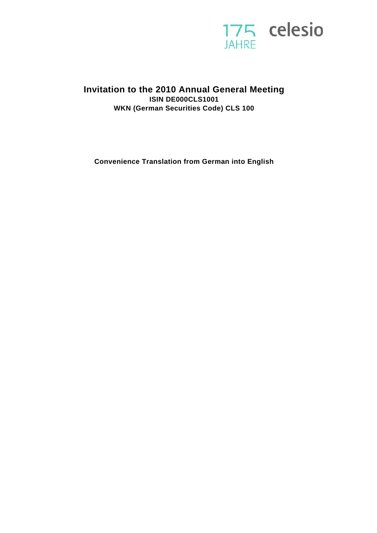

# **Invitation to the 2010 Annual General Meeting ISIN DE000CLS1001 WKN (German Securities Code) CLS 100**

**Convenience Translation from German into English**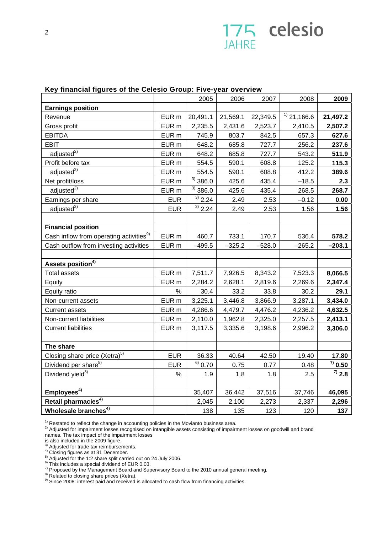

#### **Key financial figures of the Celesio Group: Five-year overview**

|                                                     |                  | 2005          | 2006     | 2007     | 2008              | 2009         |
|-----------------------------------------------------|------------------|---------------|----------|----------|-------------------|--------------|
| <b>Earnings position</b>                            |                  |               |          |          |                   |              |
| Revenue                                             | EUR <sub>m</sub> | 20,491.1      | 21,569.1 | 22,349.5 | $^{(1)}$ 21,166.6 | 21,497.2     |
| Gross profit                                        | EUR <sub>m</sub> | 2,235.5       | 2,431.6  | 2,523.7  | 2,410.5           | 2,507.2      |
| <b>EBITDA</b>                                       | EUR <sub>m</sub> | 745.9         | 803.7    | 842.5    | 657.3             | 627.6        |
| <b>EBIT</b>                                         | EUR <sub>m</sub> | 648.2         | 685.8    | 727.7    | 256.2             | 237.6        |
| adiusted <sup>2</sup>                               | EUR <sub>m</sub> | 648.2         | 685.8    | 727.7    | 543.2             | 511.9        |
| Profit before tax                                   | EUR <sub>m</sub> | 554.5         | 590.1    | 608.8    | 125.2             | 115.3        |
| adjusted <sup>2)</sup>                              | EUR <sub>m</sub> | 554.5         | 590.1    | 608.8    | 412.2             | 389.6        |
| Net profit/loss                                     | EUR <sub>m</sub> | $^{3)}$ 386.0 | 425.6    | 435.4    | $-18.5$           | 2.3          |
| adjusted <sup>2)</sup>                              | EUR <sub>m</sub> | $3)$ 386.0    | 425.6    | 435.4    | 268.5             | 268.7        |
| Earnings per share                                  | <b>EUR</b>       | $^{3)}$ 2.24  | 2.49     | 2.53     | $-0.12$           | 0.00         |
| adjusted <sup>2)</sup>                              | <b>EUR</b>       | $^{3)}$ 2.24  | 2.49     | 2.53     | 1.56              | 1.56         |
|                                                     |                  |               |          |          |                   |              |
| <b>Financial position</b>                           |                  |               |          |          |                   |              |
| Cash inflow from operating activities <sup>9)</sup> | EUR <sub>m</sub> | 460.7         | 733.1    | 170.7    | 536.4             | 578.2        |
| Cash outflow from investing activities              | EUR m            | $-499.5$      | $-325.2$ | $-528.0$ | $-265.2$          | $-203.1$     |
|                                                     |                  |               |          |          |                   |              |
| Assets position <sup>4)</sup>                       |                  |               |          |          |                   |              |
| <b>Total assets</b>                                 | EUR <sub>m</sub> | 7,511.7       | 7,926.5  | 8,343.2  | 7,523.3           | 8,066.5      |
| Equity                                              | EUR <sub>m</sub> | 2,284.2       | 2,628.1  | 2,819.6  | 2,269.6           | 2,347.4      |
| Equity ratio                                        | $\%$             | 30.4          | 33.2     | 33.8     | 30.2              | 29.1         |
| Non-current assets                                  | EUR <sub>m</sub> | 3,225.1       | 3,446.8  | 3,866.9  | 3,287.1           | 3,434.0      |
| <b>Current assets</b>                               | EUR <sub>m</sub> | 4,286.6       | 4,479.7  | 4,476.2  | 4,236.2           | 4,632.5      |
| Non-current liabilities                             | EUR <sub>m</sub> | 2,110.0       | 1,962.8  | 2,325.0  | 2,257.5           | 2,413.1      |
| <b>Current liabilities</b>                          | EUR <sub>m</sub> | 3,117.5       | 3,335.6  | 3,198.6  | 2,996.2           | 3,306.0      |
|                                                     |                  |               |          |          |                   |              |
| The share                                           |                  |               |          |          |                   |              |
| Closing share price (Xetra) <sup>5)</sup>           | <b>EUR</b>       | 36.33         | 40.64    | 42.50    | 19.40             | 17.80        |
| Dividend per share <sup>5)</sup>                    | <b>EUR</b>       | $^{6)}$ 0.70  | 0.75     | 0.77     | 0.48              | $^{7)}$ 0.50 |
| Dividend yield <sup>8)</sup>                        | $\%$             | 1.9           | 1.8      | 1.8      | 2.5               | $^{7)}$ 2.8  |
|                                                     |                  |               |          |          |                   |              |
| Employees <sup>4)</sup>                             |                  | 35,407        | 36,442   | 37,516   | 37,746            | 46,095       |
| Retail pharmacies <sup>4)</sup>                     |                  | 2,045         | 2,100    | 2,273    | 2,337             | 2,296        |
| Wholesale branches <sup>4)</sup>                    |                  | 138           | 135      | 123      | 120               | 137          |

<sup>1)</sup> Restated to reflect the change in accounting policies in the Movianto business area.<br><sup>2)</sup> Adjusted for impairment losses recognised on intangible assets consisting of impairment losses on goodwill and brand

names. The tax impact of the impairment losses

is also included in the 2009 figure.<br><sup>3)</sup> Adjusted for trade tax reimbursements.

<sup>5)</sup> Adjusted for the 1:2 share split carried out on 24 July 2006.

 $6$ ) This includes a special dividend of EUR 0.03.

 $^{7)}$  Proposed by the Management Board and Supervisory Board to the 2010 annual general meeting.<br><sup>8)</sup> Related to closing share prices (Xetra).

<sup>8)</sup> Related to closing share prices (Xetra).<br><sup>9)</sup> Since 2008: interest paid and received is allocated to cash flow from financing activities.

 $4)$  Closing figures as at 31 December.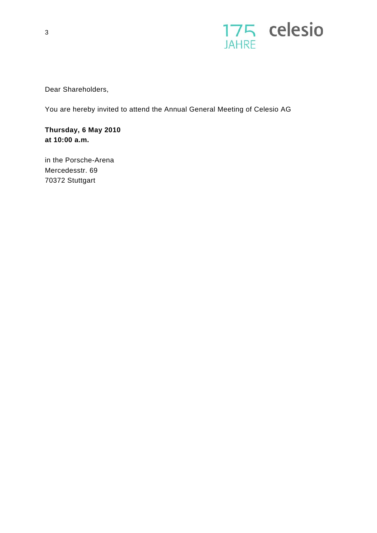

Dear Shareholders,

You are hereby invited to attend the Annual General Meeting of Celesio AG

**Thursday, 6 May 2010 at 10:00 a.m.**

in the Porsche-Arena Mercedesstr. 69 70372 Stuttgart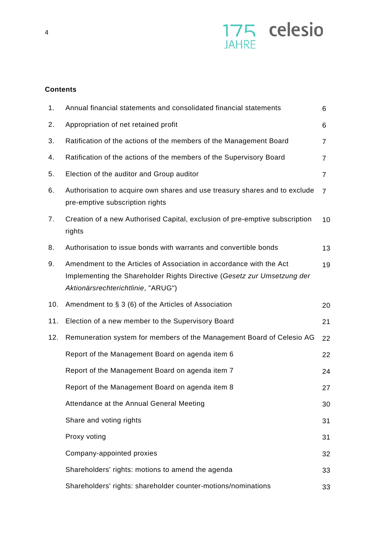

# **Contents**

| 1.  | Annual financial statements and consolidated financial statements                                                                                                                    | 6              |
|-----|--------------------------------------------------------------------------------------------------------------------------------------------------------------------------------------|----------------|
| 2.  | Appropriation of net retained profit                                                                                                                                                 | 6              |
| 3.  | Ratification of the actions of the members of the Management Board                                                                                                                   | 7              |
| 4.  | Ratification of the actions of the members of the Supervisory Board                                                                                                                  | 7              |
| 5.  | Election of the auditor and Group auditor                                                                                                                                            | $\overline{7}$ |
| 6.  | Authorisation to acquire own shares and use treasury shares and to exclude<br>pre-emptive subscription rights                                                                        | 7              |
| 7.  | Creation of a new Authorised Capital, exclusion of pre-emptive subscription<br>rights                                                                                                | 10             |
| 8.  | Authorisation to issue bonds with warrants and convertible bonds                                                                                                                     | 13             |
| 9.  | Amendment to the Articles of Association in accordance with the Act<br>Implementing the Shareholder Rights Directive (Gesetz zur Umsetzung der<br>Aktionärsrechterichtlinie, "ARUG") | 19             |
| 10. | Amendment to $\S 3$ (6) of the Articles of Association                                                                                                                               | 20             |
| 11. | Election of a new member to the Supervisory Board                                                                                                                                    | 21             |
| 12. | Remuneration system for members of the Management Board of Celesio AG                                                                                                                | 22             |
|     | Report of the Management Board on agenda item 6                                                                                                                                      | 22             |
|     | Report of the Management Board on agenda item 7                                                                                                                                      | 24             |
|     | Report of the Management Board on agenda item 8                                                                                                                                      | 27             |
|     | Attendance at the Annual General Meeting                                                                                                                                             | 30             |
|     | Share and voting rights                                                                                                                                                              | 31             |
|     | Proxy voting                                                                                                                                                                         | 31             |
|     | Company-appointed proxies                                                                                                                                                            | 32             |
|     | Shareholders' rights: motions to amend the agenda                                                                                                                                    | 33             |
|     | Shareholders' rights: shareholder counter-motions/nominations                                                                                                                        | 33             |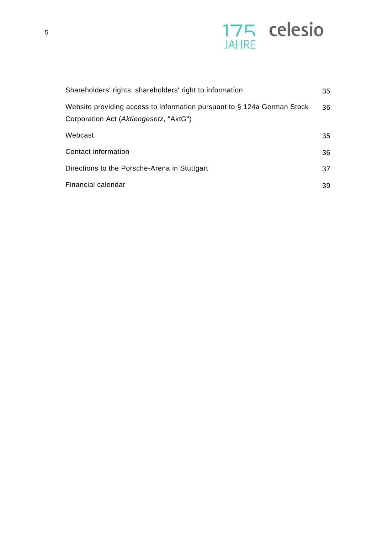

| Shareholders' rights: shareholders' right to information                                                          | 35 |
|-------------------------------------------------------------------------------------------------------------------|----|
| Website providing access to information pursuant to § 124a German Stock<br>Corporation Act (Aktiengesetz, "AktG") | 36 |
| Webcast                                                                                                           | 35 |
| Contact information                                                                                               | 36 |
| Directions to the Porsche-Arena in Stuttgart                                                                      | 37 |
| Financial calendar                                                                                                | 39 |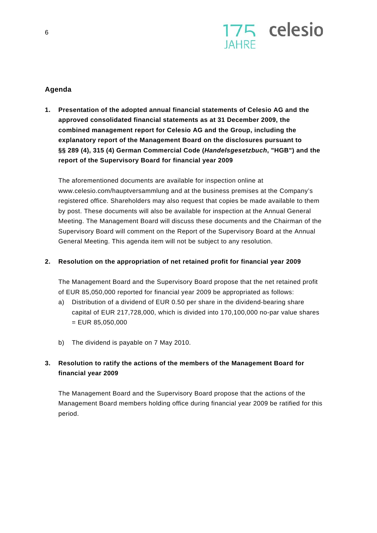

## **Agenda**

**1. Presentation of the adopted annual financial statements of Celesio AG and the approved consolidated financial statements as at 31 December 2009, the combined management report for Celesio AG and the Group, including the explanatory report of the Management Board on the disclosures pursuant to §§ 289 (4), 315 (4) German Commercial Code (***Handelsgesetzbuch***, "HGB") and the report of the Supervisory Board for financial year 2009** 

The aforementioned documents are available for inspection online at www.celesio.com/hauptversammlung and at the business premises at the Company's registered office. Shareholders may also request that copies be made available to them by post. These documents will also be available for inspection at the Annual General Meeting. The Management Board will discuss these documents and the Chairman of the Supervisory Board will comment on the Report of the Supervisory Board at the Annual General Meeting. This agenda item will not be subject to any resolution.

## **2. Resolution on the appropriation of net retained profit for financial year 2009**

The Management Board and the Supervisory Board propose that the net retained profit of EUR 85,050,000 reported for financial year 2009 be appropriated as follows:

- a) Distribution of a dividend of EUR 0.50 per share in the dividend-bearing share capital of EUR 217,728,000, which is divided into 170,100,000 no-par value shares  $=$  EUR 85,050,000
- b) The dividend is payable on 7 May 2010.

## **3. Resolution to ratify the actions of the members of the Management Board for financial year 2009**

The Management Board and the Supervisory Board propose that the actions of the Management Board members holding office during financial year 2009 be ratified for this period.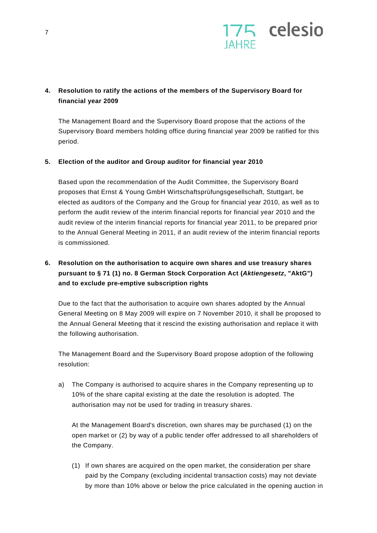

## **4. Resolution to ratify the actions of the members of the Supervisory Board for financial year 2009**

The Management Board and the Supervisory Board propose that the actions of the Supervisory Board members holding office during financial year 2009 be ratified for this period.

## **5. Election of the auditor and Group auditor for financial year 2010**

Based upon the recommendation of the Audit Committee, the Supervisory Board proposes that Ernst & Young GmbH Wirtschaftsprüfungsgesellschaft, Stuttgart, be elected as auditors of the Company and the Group for financial year 2010, as well as to perform the audit review of the interim financial reports for financial year 2010 and the audit review of the interim financial reports for financial year 2011, to be prepared prior to the Annual General Meeting in 2011, if an audit review of the interim financial reports is commissioned.

# **6. Resolution on the authorisation to acquire own shares and use treasury shares pursuant to § 71 (1) no. 8 German Stock Corporation Act (***Aktiengesetz***, "AktG") and to exclude pre-emptive subscription rights**

Due to the fact that the authorisation to acquire own shares adopted by the Annual General Meeting on 8 May 2009 will expire on 7 November 2010, it shall be proposed to the Annual General Meeting that it rescind the existing authorisation and replace it with the following authorisation.

The Management Board and the Supervisory Board propose adoption of the following resolution:

a) The Company is authorised to acquire shares in the Company representing up to 10% of the share capital existing at the date the resolution is adopted. The authorisation may not be used for trading in treasury shares.

At the Management Board's discretion, own shares may be purchased (1) on the open market or (2) by way of a public tender offer addressed to all shareholders of the Company.

(1) If own shares are acquired on the open market, the consideration per share paid by the Company (excluding incidental transaction costs) may not deviate by more than 10% above or below the price calculated in the opening auction in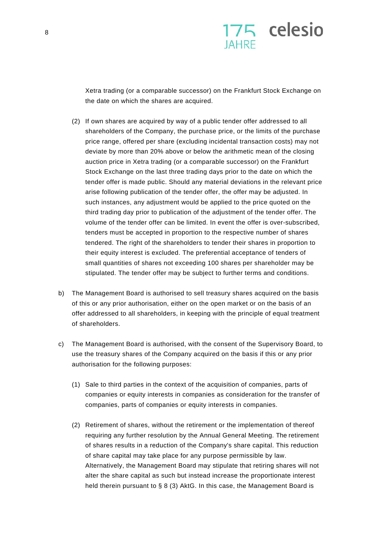

Xetra trading (or a comparable successor) on the Frankfurt Stock Exchange on the date on which the shares are acquired.

- (2) If own shares are acquired by way of a public tender offer addressed to all shareholders of the Company, the purchase price, or the limits of the purchase price range, offered per share (excluding incidental transaction costs) may not deviate by more than 20% above or below the arithmetic mean of the closing auction price in Xetra trading (or a comparable successor) on the Frankfurt Stock Exchange on the last three trading days prior to the date on which the tender offer is made public. Should any material deviations in the relevant price arise following publication of the tender offer, the offer may be adjusted. In such instances, any adjustment would be applied to the price quoted on the third trading day prior to publication of the adjustment of the tender offer. The volume of the tender offer can be limited. In event the offer is over-subscribed, tenders must be accepted in proportion to the respective number of shares tendered. The right of the shareholders to tender their shares in proportion to their equity interest is excluded. The preferential acceptance of tenders of small quantities of shares not exceeding 100 shares per shareholder may be stipulated. The tender offer may be subject to further terms and conditions.
- b) The Management Board is authorised to sell treasury shares acquired on the basis of this or any prior authorisation, either on the open market or on the basis of an offer addressed to all shareholders, in keeping with the principle of equal treatment of shareholders.
- c) The Management Board is authorised, with the consent of the Supervisory Board, to use the treasury shares of the Company acquired on the basis if this or any prior authorisation for the following purposes:
	- (1) Sale to third parties in the context of the acquisition of companies, parts of companies or equity interests in companies as consideration for the transfer of companies, parts of companies or equity interests in companies.
	- (2) Retirement of shares, without the retirement or the implementation of thereof requiring any further resolution by the Annual General Meeting. The retirement of shares results in a reduction of the Company's share capital. This reduction of share capital may take place for any purpose permissible by law. Alternatively, the Management Board may stipulate that retiring shares will not alter the share capital as such but instead increase the proportionate interest held therein pursuant to § 8 (3) AktG. In this case, the Management Board is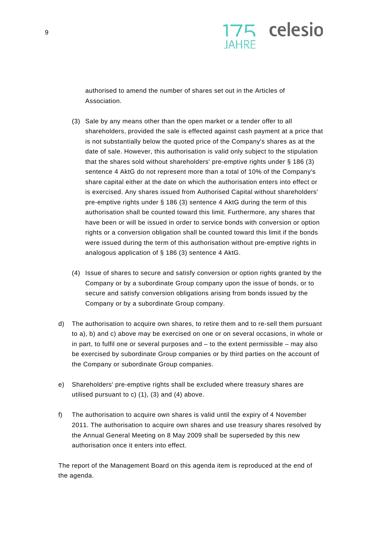

authorised to amend the number of shares set out in the Articles of Association.

- (3) Sale by any means other than the open market or a tender offer to all shareholders, provided the sale is effected against cash payment at a price that is not substantially below the quoted price of the Company's shares as at the date of sale. However, this authorisation is valid only subject to the stipulation that the shares sold without shareholders' pre-emptive rights under § 186 (3) sentence 4 AktG do not represent more than a total of 10% of the Company's share capital either at the date on which the authorisation enters into effect or is exercised. Any shares issued from Authorised Capital without shareholders' pre-emptive rights under § 186 (3) sentence 4 AktG during the term of this authorisation shall be counted toward this limit. Furthermore, any shares that have been or will be issued in order to service bonds with conversion or option rights or a conversion obligation shall be counted toward this limit if the bonds were issued during the term of this authorisation without pre-emptive rights in analogous application of § 186 (3) sentence 4 AktG.
- (4) Issue of shares to secure and satisfy conversion or option rights granted by the Company or by a subordinate Group company upon the issue of bonds, or to secure and satisfy conversion obligations arising from bonds issued by the Company or by a subordinate Group company.
- d) The authorisation to acquire own shares, to retire them and to re-sell them pursuant to a), b) and c) above may be exercised on one or on several occasions, in whole or in part, to fulfil one or several purposes and – to the extent permissible – may also be exercised by subordinate Group companies or by third parties on the account of the Company or subordinate Group companies.
- e) Shareholders' pre-emptive rights shall be excluded where treasury shares are utilised pursuant to c) (1), (3) and (4) above.
- f) The authorisation to acquire own shares is valid until the expiry of 4 November 2011. The authorisation to acquire own shares and use treasury shares resolved by the Annual General Meeting on 8 May 2009 shall be superseded by this new authorisation once it enters into effect.

The report of the Management Board on this agenda item is reproduced at the end of the agenda.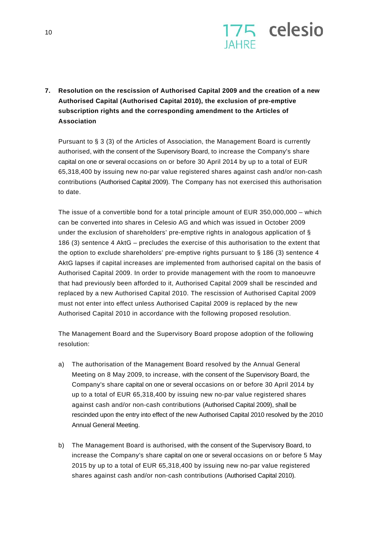

**7. Resolution on the rescission of Authorised Capital 2009 and the creation of a new Authorised Capital (Authorised Capital 2010), the exclusion of pre-emptive subscription rights and the corresponding amendment to the Articles of Association** 

Pursuant to § 3 (3) of the Articles of Association, the Management Board is currently authorised, with the consent of the Supervisory Board, to increase the Company's share capital on one or several occasions on or before 30 April 2014 by up to a total of EUR 65,318,400 by issuing new no-par value registered shares against cash and/or non-cash contributions (Authorised Capital 2009). The Company has not exercised this authorisation to date.

The issue of a convertible bond for a total principle amount of EUR 350,000,000 – which can be converted into shares in Celesio AG and which was issued in October 2009 under the exclusion of shareholders' pre-emptive rights in analogous application of § 186 (3) sentence 4 AktG – precludes the exercise of this authorisation to the extent that the option to exclude shareholders' pre-emptive rights pursuant to  $\S$  186 (3) sentence 4 AktG lapses if capital increases are implemented from authorised capital on the basis of Authorised Capital 2009. In order to provide management with the room to manoeuvre that had previously been afforded to it, Authorised Capital 2009 shall be rescinded and replaced by a new Authorised Capital 2010. The rescission of Authorised Capital 2009 must not enter into effect unless Authorised Capital 2009 is replaced by the new Authorised Capital 2010 in accordance with the following proposed resolution.

The Management Board and the Supervisory Board propose adoption of the following resolution:

- a) The authorisation of the Management Board resolved by the Annual General Meeting on 8 May 2009, to increase, with the consent of the Supervisory Board, the Company's share capital on one or several occasions on or before 30 April 2014 by up to a total of EUR 65,318,400 by issuing new no-par value registered shares against cash and/or non-cash contributions (Authorised Capital 2009), shall be rescinded upon the entry into effect of the new Authorised Capital 2010 resolved by the 2010 Annual General Meeting.
- b) The Management Board is authorised, with the consent of the Supervisory Board, to increase the Company's share capital on one or several occasions on or before 5 May 2015 by up to a total of EUR 65,318,400 by issuing new no-par value registered shares against cash and/or non-cash contributions (Authorised Capital 2010).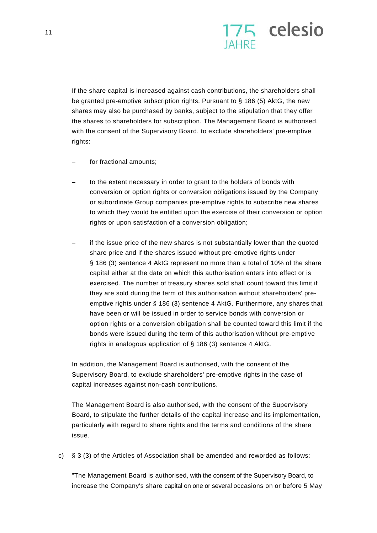

If the share capital is increased against cash contributions, the shareholders shall be granted pre-emptive subscription rights. Pursuant to § 186 (5) AktG, the new shares may also be purchased by banks, subject to the stipulation that they offer the shares to shareholders for subscription. The Management Board is authorised, with the consent of the Supervisory Board, to exclude shareholders' pre-emptive rights:

- for fractional amounts;
- to the extent necessary in order to grant to the holders of bonds with conversion or option rights or conversion obligations issued by the Company or subordinate Group companies pre-emptive rights to subscribe new shares to which they would be entitled upon the exercise of their conversion or option rights or upon satisfaction of a conversion obligation;
- if the issue price of the new shares is not substantially lower than the quoted share price and if the shares issued without pre-emptive rights under § 186 (3) sentence 4 AktG represent no more than a total of 10% of the share capital either at the date on which this authorisation enters into effect or is exercised. The number of treasury shares sold shall count toward this limit if they are sold during the term of this authorisation without shareholders' preemptive rights under § 186 (3) sentence 4 AktG. Furthermore, any shares that have been or will be issued in order to service bonds with conversion or option rights or a conversion obligation shall be counted toward this limit if the bonds were issued during the term of this authorisation without pre-emptive rights in analogous application of § 186 (3) sentence 4 AktG.

In addition, the Management Board is authorised, with the consent of the Supervisory Board, to exclude shareholders' pre-emptive rights in the case of capital increases against non-cash contributions.

The Management Board is also authorised, with the consent of the Supervisory Board, to stipulate the further details of the capital increase and its implementation, particularly with regard to share rights and the terms and conditions of the share issue.

c) § 3 (3) of the Articles of Association shall be amended and reworded as follows:

"The Management Board is authorised, with the consent of the Supervisory Board, to increase the Company's share capital on one or several occasions on or before 5 May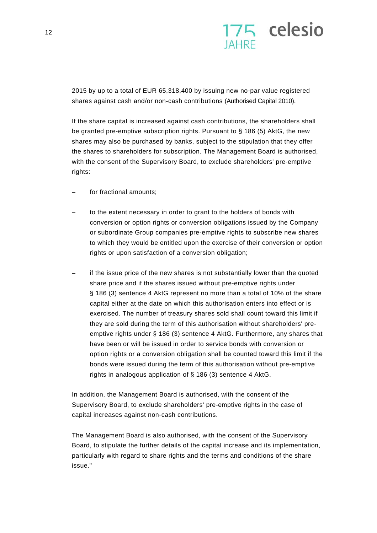

2015 by up to a total of EUR 65,318,400 by issuing new no-par value registered shares against cash and/or non-cash contributions (Authorised Capital 2010).

If the share capital is increased against cash contributions, the shareholders shall be granted pre-emptive subscription rights. Pursuant to § 186 (5) AktG, the new shares may also be purchased by banks, subject to the stipulation that they offer the shares to shareholders for subscription. The Management Board is authorised, with the consent of the Supervisory Board, to exclude shareholders' pre-emptive rights:

- for fractional amounts:
- to the extent necessary in order to grant to the holders of bonds with conversion or option rights or conversion obligations issued by the Company or subordinate Group companies pre-emptive rights to subscribe new shares to which they would be entitled upon the exercise of their conversion or option rights or upon satisfaction of a conversion obligation;
- if the issue price of the new shares is not substantially lower than the quoted share price and if the shares issued without pre-emptive rights under § 186 (3) sentence 4 AktG represent no more than a total of 10% of the share capital either at the date on which this authorisation enters into effect or is exercised. The number of treasury shares sold shall count toward this limit if they are sold during the term of this authorisation without shareholders' preemptive rights under § 186 (3) sentence 4 AktG. Furthermore, any shares that have been or will be issued in order to service bonds with conversion or option rights or a conversion obligation shall be counted toward this limit if the bonds were issued during the term of this authorisation without pre-emptive rights in analogous application of § 186 (3) sentence 4 AktG.

In addition, the Management Board is authorised, with the consent of the Supervisory Board, to exclude shareholders' pre-emptive rights in the case of capital increases against non-cash contributions.

The Management Board is also authorised, with the consent of the Supervisory Board, to stipulate the further details of the capital increase and its implementation, particularly with regard to share rights and the terms and conditions of the share issue."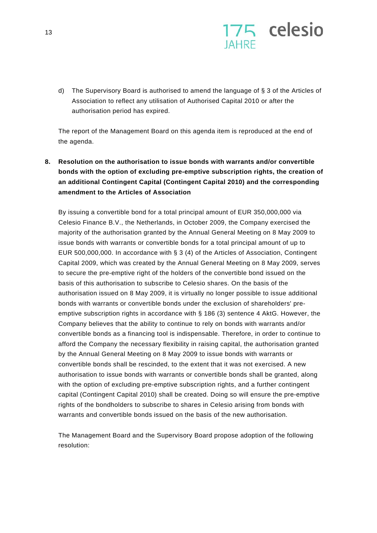

d) The Supervisory Board is authorised to amend the language of § 3 of the Articles of Association to reflect any utilisation of Authorised Capital 2010 or after the authorisation period has expired.

The report of the Management Board on this agenda item is reproduced at the end of the agenda.

**8. Resolution on the authorisation to issue bonds with warrants and/or convertible bonds with the option of excluding pre-emptive subscription rights, the creation of an additional Contingent Capital (Contingent Capital 2010) and the corresponding amendment to the Articles of Association** 

By issuing a convertible bond for a total principal amount of EUR 350,000,000 via Celesio Finance B.V., the Netherlands, in October 2009, the Company exercised the majority of the authorisation granted by the Annual General Meeting on 8 May 2009 to issue bonds with warrants or convertible bonds for a total principal amount of up to EUR 500,000,000. In accordance with § 3 (4) of the Articles of Association, Contingent Capital 2009, which was created by the Annual General Meeting on 8 May 2009, serves to secure the pre-emptive right of the holders of the convertible bond issued on the basis of this authorisation to subscribe to Celesio shares. On the basis of the authorisation issued on 8 May 2009, it is virtually no longer possible to issue additional bonds with warrants or convertible bonds under the exclusion of shareholders' preemptive subscription rights in accordance with § 186 (3) sentence 4 AktG. However, the Company believes that the ability to continue to rely on bonds with warrants and/or convertible bonds as a financing tool is indispensable. Therefore, in order to continue to afford the Company the necessary flexibility in raising capital, the authorisation granted by the Annual General Meeting on 8 May 2009 to issue bonds with warrants or convertible bonds shall be rescinded, to the extent that it was not exercised. A new authorisation to issue bonds with warrants or convertible bonds shall be granted, along with the option of excluding pre-emptive subscription rights, and a further contingent capital (Contingent Capital 2010) shall be created. Doing so will ensure the pre-emptive rights of the bondholders to subscribe to shares in Celesio arising from bonds with warrants and convertible bonds issued on the basis of the new authorisation.

The Management Board and the Supervisory Board propose adoption of the following resolution: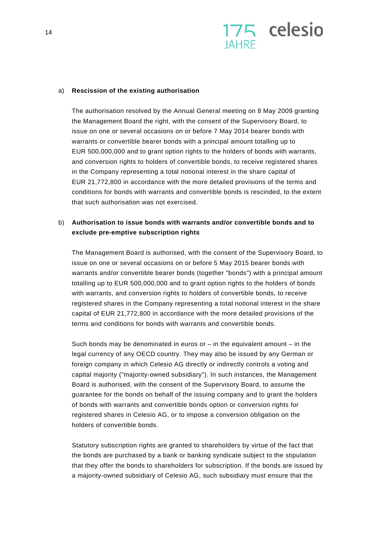

#### a) **Rescission of the existing authorisation**

The authorisation resolved by the Annual General meeting on 8 May 2009 granting the Management Board the right, with the consent of the Supervisory Board, to issue on one or several occasions on or before 7 May 2014 bearer bonds with warrants or convertible bearer bonds with a principal amount totalling up to EUR 500,000,000 and to grant option rights to the holders of bonds with warrants, and conversion rights to holders of convertible bonds, to receive registered shares in the Company representing a total notional interest in the share capital of EUR 21,772,800 in accordance with the more detailed provisions of the terms and conditions for bonds with warrants and convertible bonds is rescinded, to the extent that such authorisation was not exercised.

## b) **Authorisation to issue bonds with warrants and/or convertible bonds and to exclude pre-emptive subscription rights**

The Management Board is authorised, with the consent of the Supervisory Board, to issue on one or several occasions on or before 5 May 2015 bearer bonds with warrants and/or convertible bearer bonds (together "bonds") with a principal amount totalling up to EUR 500,000,000 and to grant option rights to the holders of bonds with warrants, and conversion rights to holders of convertible bonds, to receive registered shares in the Company representing a total notional interest in the share capital of EUR 21,772,800 in accordance with the more detailed provisions of the terms and conditions for bonds with warrants and convertible bonds.

Such bonds may be denominated in euros or  $-$  in the equivalent amount  $-$  in the legal currency of any OECD country. They may also be issued by any German or foreign company in which Celesio AG directly or indirectly controls a voting and capital majority ("majority-owned subsidiary"). In such instances, the Management Board is authorised, with the consent of the Supervisory Board, to assume the guarantee for the bonds on behalf of the issuing company and to grant the holders of bonds with warrants and convertible bonds option or conversion rights for registered shares in Celesio AG, or to impose a conversion obligation on the holders of convertible bonds.

Statutory subscription rights are granted to shareholders by virtue of the fact that the bonds are purchased by a bank or banking syndicate subject to the stipulation that they offer the bonds to shareholders for subscription. If the bonds are issued by a majority-owned subsidiary of Celesio AG, such subsidiary must ensure that the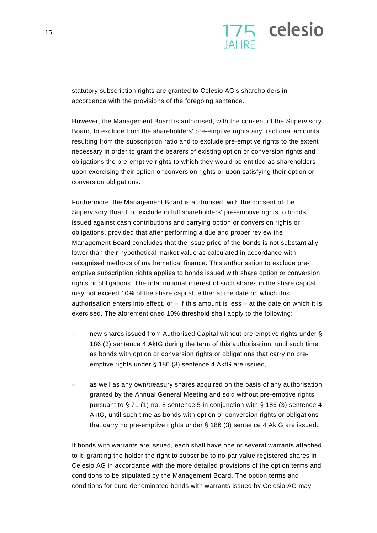

statutory subscription rights are granted to Celesio AG's shareholders in accordance with the provisions of the foregoing sentence.

However, the Management Board is authorised, with the consent of the Supervisory Board, to exclude from the shareholders' pre-emptive rights any fractional amounts resulting from the subscription ratio and to exclude pre-emptive rights to the extent necessary in order to grant the bearers of existing option or conversion rights and obligations the pre-emptive rights to which they would be entitled as shareholders upon exercising their option or conversion rights or upon satisfying their option or conversion obligations.

Furthermore, the Management Board is authorised, with the consent of the Supervisory Board, to exclude in full shareholders' pre-emptive rights to bonds issued against cash contributions and carrying option or conversion rights or obligations, provided that after performing a due and proper review the Management Board concludes that the issue price of the bonds is not substantially lower than their hypothetical market value as calculated in accordance with recognised methods of mathematical finance. This authorisation to exclude preemptive subscription rights applies to bonds issued with share option or conversion rights or obligations. The total notional interest of such shares in the share capital may not exceed 10% of the share capital, either at the date on which this authorisation enters into effect, or  $-$  if this amount is less  $-$  at the date on which it is exercised. The aforementioned 10% threshold shall apply to the following:

- new shares issued from Authorised Capital without pre-emptive rights under § 186 (3) sentence 4 AktG during the term of this authorisation, until such time as bonds with option or conversion rights or obligations that carry no preemptive rights under § 186 (3) sentence 4 AktG are issued,
- as well as any own/treasury shares acquired on the basis of any authorisation granted by the Annual General Meeting and sold without pre-emptive rights pursuant to § 71 (1) no. 8 sentence 5 in conjunction with § 186 (3) sentence 4 AktG, until such time as bonds with option or conversion rights or obligations that carry no pre-emptive rights under § 186 (3) sentence 4 AktG are issued.

If bonds with warrants are issued, each shall have one or several warrants attached to it, granting the holder the right to subscribe to no-par value registered shares in Celesio AG in accordance with the more detailed provisions of the option terms and conditions to be stipulated by the Management Board. The option terms and conditions for euro-denominated bonds with warrants issued by Celesio AG may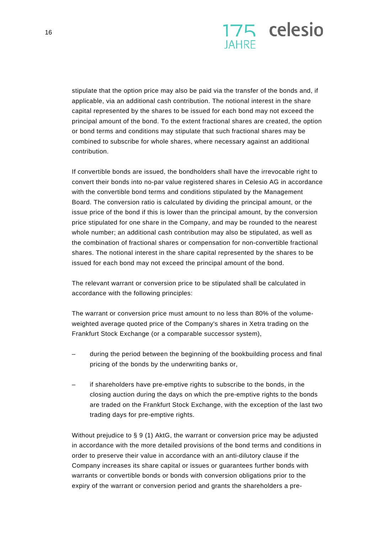

stipulate that the option price may also be paid via the transfer of the bonds and, if applicable, via an additional cash contribution. The notional interest in the share capital represented by the shares to be issued for each bond may not exceed the principal amount of the bond. To the extent fractional shares are created, the option or bond terms and conditions may stipulate that such fractional shares may be combined to subscribe for whole shares, where necessary against an additional contribution.

If convertible bonds are issued, the bondholders shall have the irrevocable right to convert their bonds into no-par value registered shares in Celesio AG in accordance with the convertible bond terms and conditions stipulated by the Management Board. The conversion ratio is calculated by dividing the principal amount, or the issue price of the bond if this is lower than the principal amount, by the conversion price stipulated for one share in the Company, and may be rounded to the nearest whole number; an additional cash contribution may also be stipulated, as well as the combination of fractional shares or compensation for non-convertible fractional shares. The notional interest in the share capital represented by the shares to be issued for each bond may not exceed the principal amount of the bond.

The relevant warrant or conversion price to be stipulated shall be calculated in accordance with the following principles:

The warrant or conversion price must amount to no less than 80% of the volumeweighted average quoted price of the Company's shares in Xetra trading on the Frankfurt Stock Exchange (or a comparable successor system),

- during the period between the beginning of the bookbuilding process and final pricing of the bonds by the underwriting banks or,
- if shareholders have pre-emptive rights to subscribe to the bonds, in the closing auction during the days on which the pre-emptive rights to the bonds are traded on the Frankfurt Stock Exchange, with the exception of the last two trading days for pre-emptive rights.

Without prejudice to § 9 (1) AktG, the warrant or conversion price may be adjusted in accordance with the more detailed provisions of the bond terms and conditions in order to preserve their value in accordance with an anti-dilutory clause if the Company increases its share capital or issues or guarantees further bonds with warrants or convertible bonds or bonds with conversion obligations prior to the expiry of the warrant or conversion period and grants the shareholders a pre-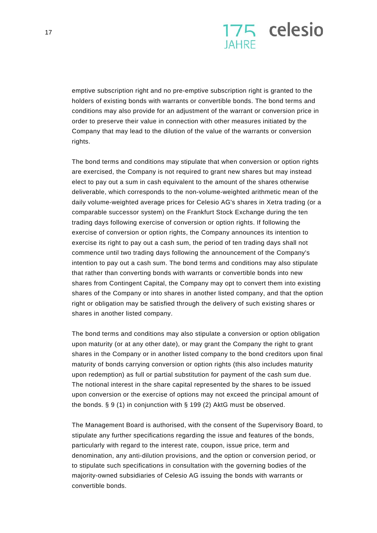

emptive subscription right and no pre-emptive subscription right is granted to the holders of existing bonds with warrants or convertible bonds. The bond terms and conditions may also provide for an adjustment of the warrant or conversion price in order to preserve their value in connection with other measures initiated by the Company that may lead to the dilution of the value of the warrants or conversion rights.

The bond terms and conditions may stipulate that when conversion or option rights are exercised, the Company is not required to grant new shares but may instead elect to pay out a sum in cash equivalent to the amount of the shares otherwise deliverable, which corresponds to the non-volume-weighted arithmetic mean of the daily volume-weighted average prices for Celesio AG's shares in Xetra trading (or a comparable successor system) on the Frankfurt Stock Exchange during the ten trading days following exercise of conversion or option rights. If following the exercise of conversion or option rights, the Company announces its intention to exercise its right to pay out a cash sum, the period of ten trading days shall not commence until two trading days following the announcement of the Company's intention to pay out a cash sum. The bond terms and conditions may also stipulate that rather than converting bonds with warrants or convertible bonds into new shares from Contingent Capital, the Company may opt to convert them into existing shares of the Company or into shares in another listed company, and that the option right or obligation may be satisfied through the delivery of such existing shares or shares in another listed company.

The bond terms and conditions may also stipulate a conversion or option obligation upon maturity (or at any other date), or may grant the Company the right to grant shares in the Company or in another listed company to the bond creditors upon final maturity of bonds carrying conversion or option rights (this also includes maturity upon redemption) as full or partial substitution for payment of the cash sum due. The notional interest in the share capital represented by the shares to be issued upon conversion or the exercise of options may not exceed the principal amount of the bonds. § 9 (1) in conjunction with § 199 (2) AktG must be observed.

The Management Board is authorised, with the consent of the Supervisory Board, to stipulate any further specifications regarding the issue and features of the bonds, particularly with regard to the interest rate, coupon, issue price, term and denomination, any anti-dilution provisions, and the option or conversion period, or to stipulate such specifications in consultation with the governing bodies of the majority-owned subsidiaries of Celesio AG issuing the bonds with warrants or convertible bonds.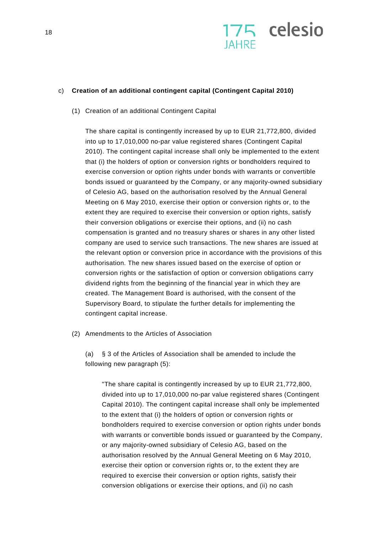

### c) **Creation of an additional contingent capital (Contingent Capital 2010)**

(1) Creation of an additional Contingent Capital

The share capital is contingently increased by up to EUR 21,772,800, divided into up to 17,010,000 no-par value registered shares (Contingent Capital 2010). The contingent capital increase shall only be implemented to the extent that (i) the holders of option or conversion rights or bondholders required to exercise conversion or option rights under bonds with warrants or convertible bonds issued or guaranteed by the Company, or any majority-owned subsidiary of Celesio AG, based on the authorisation resolved by the Annual General Meeting on 6 May 2010, exercise their option or conversion rights or, to the extent they are required to exercise their conversion or option rights, satisfy their conversion obligations or exercise their options, and (ii) no cash compensation is granted and no treasury shares or shares in any other listed company are used to service such transactions. The new shares are issued at the relevant option or conversion price in accordance with the provisions of this authorisation. The new shares issued based on the exercise of option or conversion rights or the satisfaction of option or conversion obligations carry dividend rights from the beginning of the financial year in which they are created. The Management Board is authorised, with the consent of the Supervisory Board, to stipulate the further details for implementing the contingent capital increase.

(2) Amendments to the Articles of Association

(a) § 3 of the Articles of Association shall be amended to include the following new paragraph (5):

"The share capital is contingently increased by up to EUR 21,772,800, divided into up to 17,010,000 no-par value registered shares (Contingent Capital 2010). The contingent capital increase shall only be implemented to the extent that (i) the holders of option or conversion rights or bondholders required to exercise conversion or option rights under bonds with warrants or convertible bonds issued or guaranteed by the Company, or any majority-owned subsidiary of Celesio AG, based on the authorisation resolved by the Annual General Meeting on 6 May 2010, exercise their option or conversion rights or, to the extent they are required to exercise their conversion or option rights, satisfy their conversion obligations or exercise their options, and (ii) no cash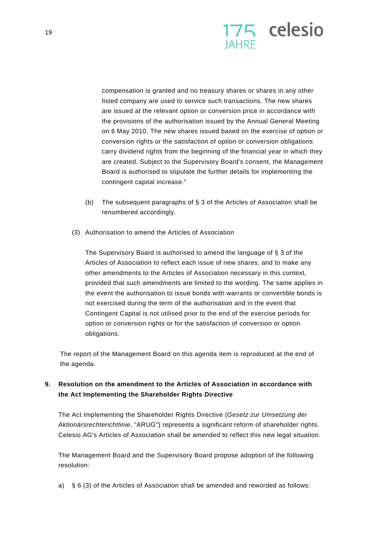

compensation is granted and no treasury shares or shares in any other listed company are used to service such transactions. The new shares are issued at the relevant option or conversion price in accordance with the provisions of the authorisation issued by the Annual General Meeting on 6 May 2010. The new shares issued based on the exercise of option or conversion rights or the satisfaction of option or conversion obligations carry dividend rights from the beginning of the financial year in which they are created. Subject to the Supervisory Board's consent, the Management Board is authorised to stipulate the further details for implementing the contingent capital increase."

- (b) The subsequent paragraphs of § 3 of the Articles of Association shall be renumbered accordingly.
- (3) Authorisation to amend the Articles of Association

The Supervisory Board is authorised to amend the language of § 3 of the Articles of Association to reflect each issue of new shares, and to make any other amendments to the Articles of Association necessary in this context, provided that such amendments are limited to the wording. The same applies in the event the authorisation to issue bonds with warrants or convertible bonds is not exercised during the term of the authorisation and in the event that Contingent Capital is not utilised prior to the end of the exercise periods for option or conversion rights or for the satisfaction of conversion or option obligations.

The report of the Management Board on this agenda item is reproduced at the end of the agenda.

## **9. Resolution on the amendment to the Articles of Association in accordance with the Act Implementing the Shareholder Rights Directive**

The Act Implementing the Shareholder Rights Directive (*Gesetz zur Umsetzung der Aktionärsrechterichtlinie*, "ARUG") represents a significant reform of shareholder rights. Celesio AG's Articles of Association shall be amended to reflect this new legal situation.

The Management Board and the Supervisory Board propose adoption of the following resolution:

a) § 6 (3) of the Articles of Association shall be amended and reworded as follows: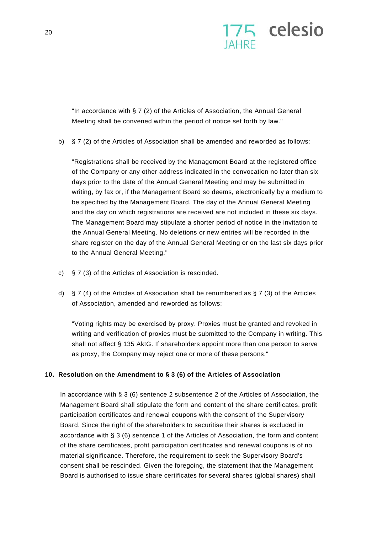

"In accordance with § 7 (2) of the Articles of Association, the Annual General Meeting shall be convened within the period of notice set forth by law."

b) § 7 (2) of the Articles of Association shall be amended and reworded as follows:

"Registrations shall be received by the Management Board at the registered office of the Company or any other address indicated in the convocation no later than six days prior to the date of the Annual General Meeting and may be submitted in writing, by fax or, if the Management Board so deems, electronically by a medium to be specified by the Management Board. The day of the Annual General Meeting and the day on which registrations are received are not included in these six days. The Management Board may stipulate a shorter period of notice in the invitation to the Annual General Meeting. No deletions or new entries will be recorded in the share register on the day of the Annual General Meeting or on the last six days prior to the Annual General Meeting."

- c) § 7 (3) of the Articles of Association is rescinded.
- d) § 7 (4) of the Articles of Association shall be renumbered as § 7 (3) of the Articles of Association, amended and reworded as follows:

"Voting rights may be exercised by proxy. Proxies must be granted and revoked in writing and verification of proxies must be submitted to the Company in writing. This shall not affect § 135 AktG. If shareholders appoint more than one person to serve as proxy, the Company may reject one or more of these persons."

## **10. Resolution on the Amendment to § 3 (6) of the Articles of Association**

In accordance with § 3 (6) sentence 2 subsentence 2 of the Articles of Association, the Management Board shall stipulate the form and content of the share certificates, profit participation certificates and renewal coupons with the consent of the Supervisory Board. Since the right of the shareholders to securitise their shares is excluded in accordance with § 3 (6) sentence 1 of the Articles of Association, the form and content of the share certificates, profit participation certificates and renewal coupons is of no material significance. Therefore, the requirement to seek the Supervisory Board's consent shall be rescinded. Given the foregoing, the statement that the Management Board is authorised to issue share certificates for several shares (global shares) shall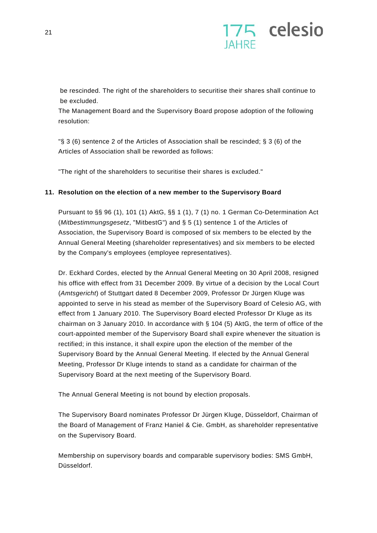

be rescinded. The right of the shareholders to securitise their shares shall continue to be excluded.

The Management Board and the Supervisory Board propose adoption of the following resolution:

"§ 3 (6) sentence 2 of the Articles of Association shall be rescinded; § 3 (6) of the Articles of Association shall be reworded as follows:

"The right of the shareholders to securitise their shares is excluded."

### **11. Resolution on the election of a new member to the Supervisory Board**

Pursuant to §§ 96 (1), 101 (1) AktG, §§ 1 (1), 7 (1) no. 1 German Co-Determination Act (*Mitbestimmungsgesetz*, "MitbestG") and § 5 (1) sentence 1 of the Articles of Association, the Supervisory Board is composed of six members to be elected by the Annual General Meeting (shareholder representatives) and six members to be elected by the Company's employees (employee representatives).

Dr. Eckhard Cordes, elected by the Annual General Meeting on 30 April 2008, resigned his office with effect from 31 December 2009. By virtue of a decision by the Local Court (*Amtsgericht*) of Stuttgart dated 8 December 2009, Professor Dr Jürgen Kluge was appointed to serve in his stead as member of the Supervisory Board of Celesio AG, with effect from 1 January 2010. The Supervisory Board elected Professor Dr Kluge as its chairman on 3 January 2010. In accordance with § 104 (5) AktG, the term of office of the court-appointed member of the Supervisory Board shall expire whenever the situation is rectified; in this instance, it shall expire upon the election of the member of the Supervisory Board by the Annual General Meeting. If elected by the Annual General Meeting, Professor Dr Kluge intends to stand as a candidate for chairman of the Supervisory Board at the next meeting of the Supervisory Board.

The Annual General Meeting is not bound by election proposals.

The Supervisory Board nominates Professor Dr Jürgen Kluge, Düsseldorf, Chairman of the Board of Management of Franz Haniel & Cie. GmbH, as shareholder representative on the Supervisory Board.

Membership on supervisory boards and comparable supervisory bodies: SMS GmbH, Düsseldorf.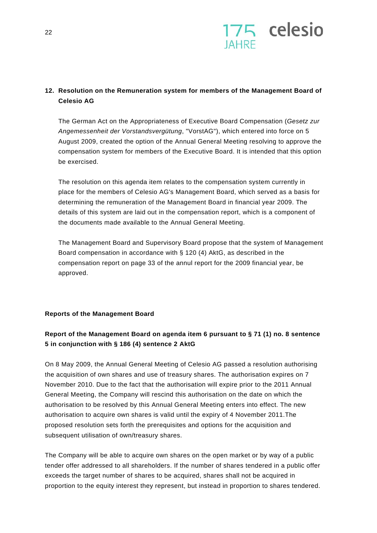

## **12. Resolution on the Remuneration system for members of the Management Board of Celesio AG**

The German Act on the Appropriateness of Executive Board Compensation (*Gesetz zur Angemessenheit der Vorstandsvergütung*, "VorstAG"), which entered into force on 5 August 2009, created the option of the Annual General Meeting resolving to approve the compensation system for members of the Executive Board. It is intended that this option be exercised.

The resolution on this agenda item relates to the compensation system currently in place for the members of Celesio AG's Management Board, which served as a basis for determining the remuneration of the Management Board in financial year 2009. The details of this system are laid out in the compensation report, which is a component of the documents made available to the Annual General Meeting.

The Management Board and Supervisory Board propose that the system of Management Board compensation in accordance with § 120 (4) AktG, as described in the compensation report on page 33 of the annul report for the 2009 financial year, be approved.

## **Reports of the Management Board**

## **Report of the Management Board on agenda item 6 pursuant to § 71 (1) no. 8 sentence 5 in conjunction with § 186 (4) sentence 2 AktG**

On 8 May 2009, the Annual General Meeting of Celesio AG passed a resolution authorising the acquisition of own shares and use of treasury shares. The authorisation expires on 7 November 2010. Due to the fact that the authorisation will expire prior to the 2011 Annual General Meeting, the Company will rescind this authorisation on the date on which the authorisation to be resolved by this Annual General Meeting enters into effect. The new authorisation to acquire own shares is valid until the expiry of 4 November 2011.The proposed resolution sets forth the prerequisites and options for the acquisition and subsequent utilisation of own/treasury shares.

The Company will be able to acquire own shares on the open market or by way of a public tender offer addressed to all shareholders. If the number of shares tendered in a public offer exceeds the target number of shares to be acquired, shares shall not be acquired in proportion to the equity interest they represent, but instead in proportion to shares tendered.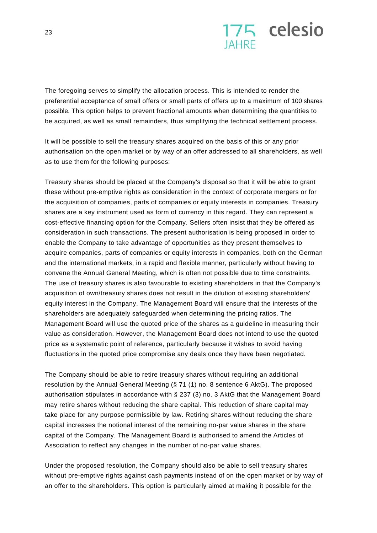

The foregoing serves to simplify the allocation process. This is intended to render the preferential acceptance of small offers or small parts of offers up to a maximum of 100 shares possible. This option helps to prevent fractional amounts when determining the quantities to be acquired, as well as small remainders, thus simplifying the technical settlement process.

It will be possible to sell the treasury shares acquired on the basis of this or any prior authorisation on the open market or by way of an offer addressed to all shareholders, as well as to use them for the following purposes:

Treasury shares should be placed at the Company's disposal so that it will be able to grant these without pre-emptive rights as consideration in the context of corporate mergers or for the acquisition of companies, parts of companies or equity interests in companies. Treasury shares are a key instrument used as form of currency in this regard. They can represent a cost-effective financing option for the Company. Sellers often insist that they be offered as consideration in such transactions. The present authorisation is being proposed in order to enable the Company to take advantage of opportunities as they present themselves to acquire companies, parts of companies or equity interests in companies, both on the German and the international markets, in a rapid and flexible manner, particularly without having to convene the Annual General Meeting, which is often not possible due to time constraints. The use of treasury shares is also favourable to existing shareholders in that the Company's acquisition of own/treasury shares does not result in the dilution of existing shareholders' equity interest in the Company. The Management Board will ensure that the interests of the shareholders are adequately safeguarded when determining the pricing ratios. The Management Board will use the quoted price of the shares as a guideline in measuring their value as consideration. However, the Management Board does not intend to use the quoted price as a systematic point of reference, particularly because it wishes to avoid having fluctuations in the quoted price compromise any deals once they have been negotiated.

The Company should be able to retire treasury shares without requiring an additional resolution by the Annual General Meeting (§ 71 (1) no. 8 sentence 6 AktG). The proposed authorisation stipulates in accordance with § 237 (3) no. 3 AktG that the Management Board may retire shares without reducing the share capital. This reduction of share capital may take place for any purpose permissible by law. Retiring shares without reducing the share capital increases the notional interest of the remaining no-par value shares in the share capital of the Company. The Management Board is authorised to amend the Articles of Association to reflect any changes in the number of no-par value shares.

Under the proposed resolution, the Company should also be able to sell treasury shares without pre-emptive rights against cash payments instead of on the open market or by way of an offer to the shareholders. This option is particularly aimed at making it possible for the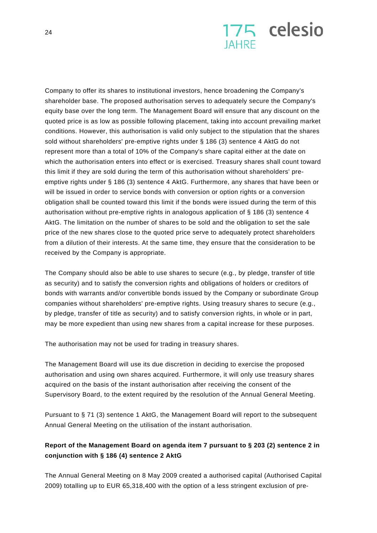

Company to offer its shares to institutional investors, hence broadening the Company's shareholder base. The proposed authorisation serves to adequately secure the Company's equity base over the long term. The Management Board will ensure that any discount on the quoted price is as low as possible following placement, taking into account prevailing market conditions. However, this authorisation is valid only subject to the stipulation that the shares sold without shareholders' pre-emptive rights under § 186 (3) sentence 4 AktG do not represent more than a total of 10% of the Company's share capital either at the date on which the authorisation enters into effect or is exercised. Treasury shares shall count toward this limit if they are sold during the term of this authorisation without shareholders' preemptive rights under § 186 (3) sentence 4 AktG. Furthermore, any shares that have been or will be issued in order to service bonds with conversion or option rights or a conversion obligation shall be counted toward this limit if the bonds were issued during the term of this authorisation without pre-emptive rights in analogous application of § 186 (3) sentence 4 AktG. The limitation on the number of shares to be sold and the obligation to set the sale price of the new shares close to the quoted price serve to adequately protect shareholders from a dilution of their interests. At the same time, they ensure that the consideration to be received by the Company is appropriate.

The Company should also be able to use shares to secure (e.g., by pledge, transfer of title as security) and to satisfy the conversion rights and obligations of holders or creditors of bonds with warrants and/or convertible bonds issued by the Company or subordinate Group companies without shareholders' pre-emptive rights. Using treasury shares to secure (e.g., by pledge, transfer of title as security) and to satisfy conversion rights, in whole or in part, may be more expedient than using new shares from a capital increase for these purposes.

The authorisation may not be used for trading in treasury shares.

The Management Board will use its due discretion in deciding to exercise the proposed authorisation and using own shares acquired. Furthermore, it will only use treasury shares acquired on the basis of the instant authorisation after receiving the consent of the Supervisory Board, to the extent required by the resolution of the Annual General Meeting.

Pursuant to § 71 (3) sentence 1 AktG, the Management Board will report to the subsequent Annual General Meeting on the utilisation of the instant authorisation.

## **Report of the Management Board on agenda item 7 pursuant to § 203 (2) sentence 2 in conjunction with § 186 (4) sentence 2 AktG**

The Annual General Meeting on 8 May 2009 created a authorised capital (Authorised Capital 2009) totalling up to EUR 65,318,400 with the option of a less stringent exclusion of pre-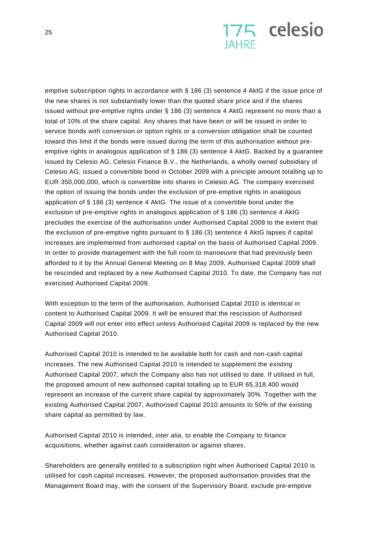

emptive subscription rights in accordance with § 186 (3) sentence 4 AktG if the issue price of the new shares is not substantially lower than the quoted share price and if the shares issued without pre-emptive rights under § 186 (3) sentence 4 AktG represent no more than a total of 10% of the share capital. Any shares that have been or will be issued in order to service bonds with conversion or option rights or a conversion obligation shall be counted toward this limit if the bonds were issued during the term of this authorisation without preemptive rights in analogous application of § 186 (3) sentence 4 AktG. Backed by a guarantee issued by Celesio AG, Celesio Finance B.V., the Netherlands, a wholly owned subsidiary of Celesio AG, issued a convertible bond in October 2009 with a principle amount totalling up to EUR 350,000,000, which is convertible into shares in Celesio AG. The company exercised the option of issuing the bonds under the exclusion of pre-emptive rights in analogous application of § 186 (3) sentence 4 AktG. The issue of a convertible bond under the exclusion of pre-emptive rights in analogous application of § 186 (3) sentence 4 AktG precludes the exercise of the authorisation under Authorised Capital 2009 to the extent that the exclusion of pre-emptive rights pursuant to  $\S$  186 (3) sentence 4 AktG lapses if capital increases are implemented from authorised capital on the basis of Authorised Capital 2009. In order to provide management with the full room to manoeuvre that had previously been afforded to it by the Annual General Meeting on 8 May 2009, Authorised Capital 2009 shall be rescinded and replaced by a new Authorised Capital 2010. To date, the Company has not exercised Authorised Capital 2009.

With exception to the term of the authorisation, Authorised Capital 2010 is identical in content to Authorised Capital 2009. It will be ensured that the rescission of Authorised Capital 2009 will not enter into effect unless Authorised Capital 2009 is replaced by the new Authorised Capital 2010.

Authorised Capital 2010 is intended to be available both for cash and non-cash capital increases. The new Authorised Capital 2010 is intended to supplement the existing Authorised Capital 2007, which the Company also has not utilised to date. If utilised in full, the proposed amount of new authorised capital totalling up to EUR 65,318,400 would represent an increase of the current share capital by approximately 30%. Together with the existing Authorised Capital 2007, Authorised Capital 2010 amounts to 50% of the existing share capital as permitted by law.

Authorised Capital 2010 is intended, *inter alia*, to enable the Company to finance acquisitions, whether against cash consideration or against shares.

Shareholders are generally entitled to a subscription right when Authorised Capital 2010 is utilised for cash capital increases. However, the proposed authorisation provides that the Management Board may, with the consent of the Supervisory Board, exclude pre-emptive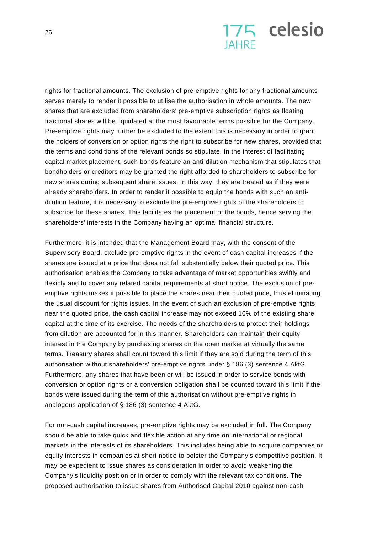

rights for fractional amounts. The exclusion of pre-emptive rights for any fractional amounts serves merely to render it possible to utilise the authorisation in whole amounts. The new shares that are excluded from shareholders' pre-emptive subscription rights as floating fractional shares will be liquidated at the most favourable terms possible for the Company. Pre-emptive rights may further be excluded to the extent this is necessary in order to grant the holders of conversion or option rights the right to subscribe for new shares, provided that the terms and conditions of the relevant bonds so stipulate. In the interest of facilitating capital market placement, such bonds feature an anti-dilution mechanism that stipulates that bondholders or creditors may be granted the right afforded to shareholders to subscribe for new shares during subsequent share issues. In this way, they are treated as if they were already shareholders. In order to render it possible to equip the bonds with such an antidilution feature, it is necessary to exclude the pre-emptive rights of the shareholders to subscribe for these shares. This facilitates the placement of the bonds, hence serving the shareholders' interests in the Company having an optimal financial structure.

Furthermore, it is intended that the Management Board may, with the consent of the Supervisory Board, exclude pre-emptive rights in the event of cash capital increases if the shares are issued at a price that does not fall substantially below their quoted price. This authorisation enables the Company to take advantage of market opportunities swiftly and flexibly and to cover any related capital requirements at short notice. The exclusion of preemptive rights makes it possible to place the shares near their quoted price, thus eliminating the usual discount for rights issues. In the event of such an exclusion of pre-emptive rights near the quoted price, the cash capital increase may not exceed 10% of the existing share capital at the time of its exercise. The needs of the shareholders to protect their holdings from dilution are accounted for in this manner. Shareholders can maintain their equity interest in the Company by purchasing shares on the open market at virtually the same terms. Treasury shares shall count toward this limit if they are sold during the term of this authorisation without shareholders' pre-emptive rights under § 186 (3) sentence 4 AktG. Furthermore, any shares that have been or will be issued in order to service bonds with conversion or option rights or a conversion obligation shall be counted toward this limit if the bonds were issued during the term of this authorisation without pre-emptive rights in analogous application of § 186 (3) sentence 4 AktG.

For non-cash capital increases, pre-emptive rights may be excluded in full. The Company should be able to take quick and flexible action at any time on international or regional markets in the interests of its shareholders. This includes being able to acquire companies or equity interests in companies at short notice to bolster the Company's competitive position. It may be expedient to issue shares as consideration in order to avoid weakening the Company's liquidity position or in order to comply with the relevant tax conditions. The proposed authorisation to issue shares from Authorised Capital 2010 against non-cash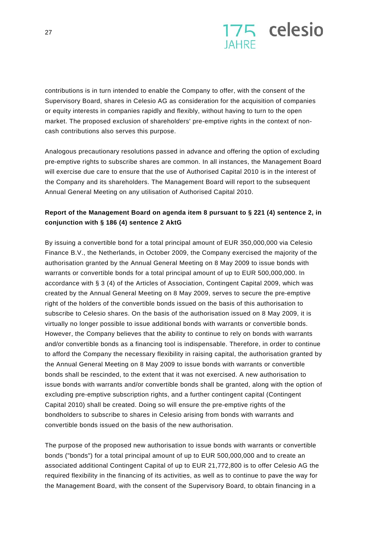

contributions is in turn intended to enable the Company to offer, with the consent of the Supervisory Board, shares in Celesio AG as consideration for the acquisition of companies or equity interests in companies rapidly and flexibly, without having to turn to the open market. The proposed exclusion of shareholders' pre-emptive rights in the context of noncash contributions also serves this purpose.

Analogous precautionary resolutions passed in advance and offering the option of excluding pre-emptive rights to subscribe shares are common. In all instances, the Management Board will exercise due care to ensure that the use of Authorised Capital 2010 is in the interest of the Company and its shareholders. The Management Board will report to the subsequent Annual General Meeting on any utilisation of Authorised Capital 2010.

## **Report of the Management Board on agenda item 8 pursuant to § 221 (4) sentence 2, in conjunction with § 186 (4) sentence 2 AktG**

By issuing a convertible bond for a total principal amount of EUR 350,000,000 via Celesio Finance B.V., the Netherlands, in October 2009, the Company exercised the majority of the authorisation granted by the Annual General Meeting on 8 May 2009 to issue bonds with warrants or convertible bonds for a total principal amount of up to EUR 500,000,000. In accordance with § 3 (4) of the Articles of Association, Contingent Capital 2009, which was created by the Annual General Meeting on 8 May 2009, serves to secure the pre-emptive right of the holders of the convertible bonds issued on the basis of this authorisation to subscribe to Celesio shares. On the basis of the authorisation issued on 8 May 2009, it is virtually no longer possible to issue additional bonds with warrants or convertible bonds. However, the Company believes that the ability to continue to rely on bonds with warrants and/or convertible bonds as a financing tool is indispensable. Therefore, in order to continue to afford the Company the necessary flexibility in raising capital, the authorisation granted by the Annual General Meeting on 8 May 2009 to issue bonds with warrants or convertible bonds shall be rescinded, to the extent that it was not exercised. A new authorisation to issue bonds with warrants and/or convertible bonds shall be granted, along with the option of excluding pre-emptive subscription rights, and a further contingent capital (Contingent Capital 2010) shall be created. Doing so will ensure the pre-emptive rights of the bondholders to subscribe to shares in Celesio arising from bonds with warrants and convertible bonds issued on the basis of the new authorisation.

The purpose of the proposed new authorisation to issue bonds with warrants or convertible bonds ("bonds") for a total principal amount of up to EUR 500,000,000 and to create an associated additional Contingent Capital of up to EUR 21,772,800 is to offer Celesio AG the required flexibility in the financing of its activities, as well as to continue to pave the way for the Management Board, with the consent of the Supervisory Board, to obtain financing in a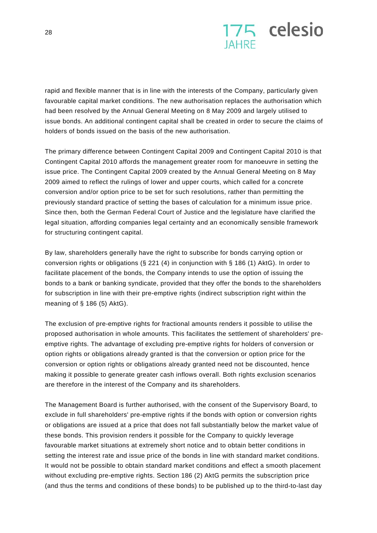

rapid and flexible manner that is in line with the interests of the Company, particularly given favourable capital market conditions. The new authorisation replaces the authorisation which had been resolved by the Annual General Meeting on 8 May 2009 and largely utilised to issue bonds. An additional contingent capital shall be created in order to secure the claims of holders of bonds issued on the basis of the new authorisation.

The primary difference between Contingent Capital 2009 and Contingent Capital 2010 is that Contingent Capital 2010 affords the management greater room for manoeuvre in setting the issue price. The Contingent Capital 2009 created by the Annual General Meeting on 8 May 2009 aimed to reflect the rulings of lower and upper courts, which called for a concrete conversion and/or option price to be set for such resolutions, rather than permitting the previously standard practice of setting the bases of calculation for a minimum issue price. Since then, both the German Federal Court of Justice and the legislature have clarified the legal situation, affording companies legal certainty and an economically sensible framework for structuring contingent capital.

By law, shareholders generally have the right to subscribe for bonds carrying option or conversion rights or obligations (§ 221 (4) in conjunction with § 186 (1) AktG). In order to facilitate placement of the bonds, the Company intends to use the option of issuing the bonds to a bank or banking syndicate, provided that they offer the bonds to the shareholders for subscription in line with their pre-emptive rights (indirect subscription right within the meaning of § 186 (5) AktG).

The exclusion of pre-emptive rights for fractional amounts renders it possible to utilise the proposed authorisation in whole amounts. This facilitates the settlement of shareholders' preemptive rights. The advantage of excluding pre-emptive rights for holders of conversion or option rights or obligations already granted is that the conversion or option price for the conversion or option rights or obligations already granted need not be discounted, hence making it possible to generate greater cash inflows overall. Both rights exclusion scenarios are therefore in the interest of the Company and its shareholders.

The Management Board is further authorised, with the consent of the Supervisory Board, to exclude in full shareholders' pre-emptive rights if the bonds with option or conversion rights or obligations are issued at a price that does not fall substantially below the market value of these bonds. This provision renders it possible for the Company to quickly leverage favourable market situations at extremely short notice and to obtain better conditions in setting the interest rate and issue price of the bonds in line with standard market conditions. It would not be possible to obtain standard market conditions and effect a smooth placement without excluding pre-emptive rights. Section 186 (2) AktG permits the subscription price (and thus the terms and conditions of these bonds) to be published up to the third-to-last day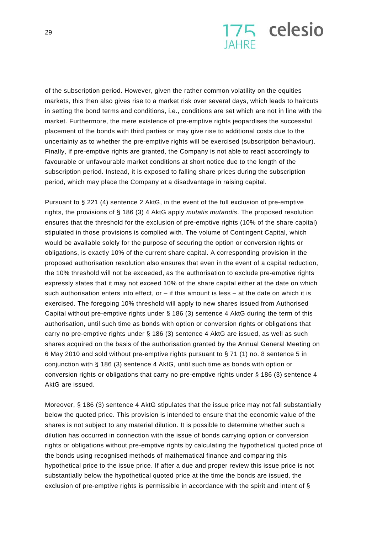

of the subscription period. However, given the rather common volatility on the equities markets, this then also gives rise to a market risk over several days, which leads to haircuts in setting the bond terms and conditions, i.e., conditions are set which are not in line with the market. Furthermore, the mere existence of pre-emptive rights jeopardises the successful placement of the bonds with third parties or may give rise to additional costs due to the uncertainty as to whether the pre-emptive rights will be exercised (subscription behaviour). Finally, if pre-emptive rights are granted, the Company is not able to react accordingly to favourable or unfavourable market conditions at short notice due to the length of the subscription period. Instead, it is exposed to falling share prices during the subscription period, which may place the Company at a disadvantage in raising capital.

Pursuant to § 221 (4) sentence 2 AktG, in the event of the full exclusion of pre-emptive rights, the provisions of § 186 (3) 4 AktG apply *mutatis mutandis*. The proposed resolution ensures that the threshold for the exclusion of pre-emptive rights (10% of the share capital) stipulated in those provisions is complied with. The volume of Contingent Capital, which would be available solely for the purpose of securing the option or conversion rights or obligations, is exactly 10% of the current share capital. A corresponding provision in the proposed authorisation resolution also ensures that even in the event of a capital reduction, the 10% threshold will not be exceeded, as the authorisation to exclude pre-emptive rights expressly states that it may not exceed 10% of the share capital either at the date on which such authorisation enters into effect, or  $-$  if this amount is less  $-$  at the date on which it is exercised. The foregoing 10% threshold will apply to new shares issued from Authorised Capital without pre-emptive rights under § 186 (3) sentence 4 AktG during the term of this authorisation, until such time as bonds with option or conversion rights or obligations that carry no pre-emptive rights under § 186 (3) sentence 4 AktG are issued, as well as such shares acquired on the basis of the authorisation granted by the Annual General Meeting on 6 May 2010 and sold without pre-emptive rights pursuant to § 71 (1) no. 8 sentence 5 in conjunction with § 186 (3) sentence 4 AktG, until such time as bonds with option or conversion rights or obligations that carry no pre-emptive rights under § 186 (3) sentence 4 AktG are issued.

Moreover, § 186 (3) sentence 4 AktG stipulates that the issue price may not fall substantially below the quoted price. This provision is intended to ensure that the economic value of the shares is not subject to any material dilution. It is possible to determine whether such a dilution has occurred in connection with the issue of bonds carrying option or conversion rights or obligations without pre-emptive rights by calculating the hypothetical quoted price of the bonds using recognised methods of mathematical finance and comparing this hypothetical price to the issue price. If after a due and proper review this issue price is not substantially below the hypothetical quoted price at the time the bonds are issued, the exclusion of pre-emptive rights is permissible in accordance with the spirit and intent of §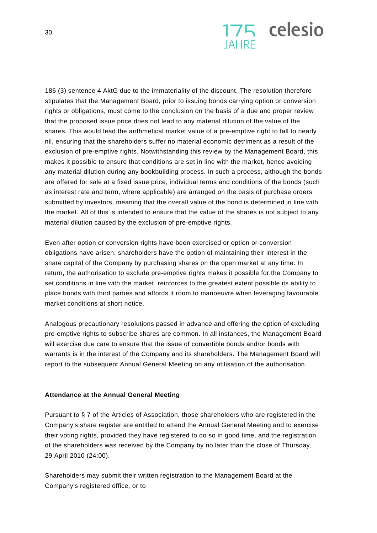

186 (3) sentence 4 AktG due to the immateriality of the discount. The resolution therefore stipulates that the Management Board, prior to issuing bonds carrying option or conversion rights or obligations, must come to the conclusion on the basis of a due and proper review that the proposed issue price does not lead to any material dilution of the value of the shares. This would lead the arithmetical market value of a pre-emptive right to fall to nearly nil, ensuring that the shareholders suffer no material economic detriment as a result of the exclusion of pre-emptive rights. Notwithstanding this review by the Management Board, this makes it possible to ensure that conditions are set in line with the market, hence avoiding any material dilution during any bookbuilding process. In such a process, although the bonds are offered for sale at a fixed issue price, individual terms and conditions of the bonds (such as interest rate and term, where applicable) are arranged on the basis of purchase orders submitted by investors, meaning that the overall value of the bond is determined in line with the market. All of this is intended to ensure that the value of the shares is not subject to any material dilution caused by the exclusion of pre-emptive rights.

Even after option or conversion rights have been exercised or option or conversion obligations have arisen, shareholders have the option of maintaining their interest in the share capital of the Company by purchasing shares on the open market at any time. In return, the authorisation to exclude pre-emptive rights makes it possible for the Company to set conditions in line with the market, reinforces to the greatest extent possible its ability to place bonds with third parties and affords it room to manoeuvre when leveraging favourable market conditions at short notice.

Analogous precautionary resolutions passed in advance and offering the option of excluding pre-emptive rights to subscribe shares are common. In all instances, the Management Board will exercise due care to ensure that the issue of convertible bonds and/or bonds with warrants is in the interest of the Company and its shareholders. The Management Board will report to the subsequent Annual General Meeting on any utilisation of the authorisation.

#### **Attendance at the Annual General Meeting**

Pursuant to § 7 of the Articles of Association, those shareholders who are registered in the Company's share register are entitled to attend the Annual General Meeting and to exercise their voting rights, provided they have registered to do so in good time, and the registration of the shareholders was received by the Company by no later than the close of Thursday, 29 April 2010 (24:00).

Shareholders may submit their written registration to the Management Board at the Company's registered office, or to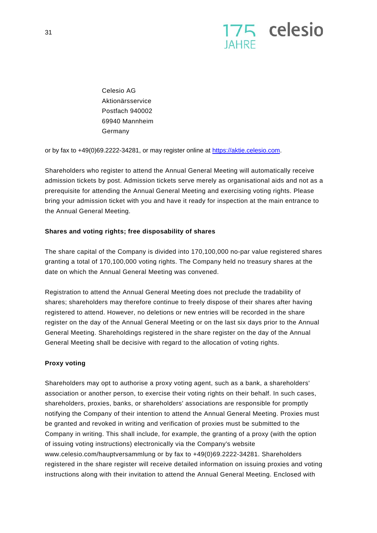

Celesio AG Aktionärsservice Postfach 940002 69940 Mannheim Germany

or by fax to +49(0)69.2222-34281, or may register online at https://aktie.celesio.com.

Shareholders who register to attend the Annual General Meeting will automatically receive admission tickets by post. Admission tickets serve merely as organisational aids and not as a prerequisite for attending the Annual General Meeting and exercising voting rights. Please bring your admission ticket with you and have it ready for inspection at the main entrance to the Annual General Meeting.

#### **Shares and voting rights; free disposability of shares**

The share capital of the Company is divided into 170,100,000 no-par value registered shares granting a total of 170,100,000 voting rights. The Company held no treasury shares at the date on which the Annual General Meeting was convened.

Registration to attend the Annual General Meeting does not preclude the tradability of shares; shareholders may therefore continue to freely dispose of their shares after having registered to attend. However, no deletions or new entries will be recorded in the share register on the day of the Annual General Meeting or on the last six days prior to the Annual General Meeting. Shareholdings registered in the share register on the day of the Annual General Meeting shall be decisive with regard to the allocation of voting rights.

#### **Proxy voting**

Shareholders may opt to authorise a proxy voting agent, such as a bank, a shareholders' association or another person, to exercise their voting rights on their behalf. In such cases, shareholders, proxies, banks, or shareholders' associations are responsible for promptly notifying the Company of their intention to attend the Annual General Meeting. Proxies must be granted and revoked in writing and verification of proxies must be submitted to the Company in writing. This shall include, for example, the granting of a proxy (with the option of issuing voting instructions) electronically via the Company's website www.celesio.com/hauptversammlung or by fax to +49(0)69.2222-34281. Shareholders registered in the share register will receive detailed information on issuing proxies and voting instructions along with their invitation to attend the Annual General Meeting. Enclosed with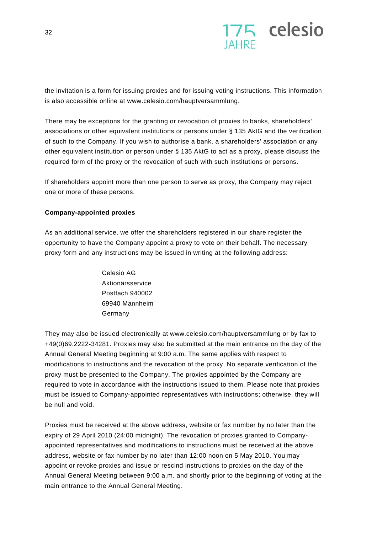

the invitation is a form for issuing proxies and for issuing voting instructions. This information is also accessible online at www.celesio.com/hauptversammlung.

There may be exceptions for the granting or revocation of proxies to banks, shareholders' associations or other equivalent institutions or persons under § 135 AktG and the verification of such to the Company. If you wish to authorise a bank, a shareholders' association or any other equivalent institution or person under § 135 AktG to act as a proxy, please discuss the required form of the proxy or the revocation of such with such institutions or persons.

If shareholders appoint more than one person to serve as proxy, the Company may reject one or more of these persons.

### **Company-appointed proxies**

As an additional service, we offer the shareholders registered in our share register the opportunity to have the Company appoint a proxy to vote on their behalf. The necessary proxy form and any instructions may be issued in writing at the following address:

> Celesio AG Aktionärsservice Postfach 940002 69940 Mannheim Germany

They may also be issued electronically at www.celesio.com/hauptversammlung or by fax to +49(0)69.2222-34281. Proxies may also be submitted at the main entrance on the day of the Annual General Meeting beginning at 9:00 a.m. The same applies with respect to modifications to instructions and the revocation of the proxy. No separate verification of the proxy must be presented to the Company. The proxies appointed by the Company are required to vote in accordance with the instructions issued to them. Please note that proxies must be issued to Company-appointed representatives with instructions; otherwise, they will be null and void.

Proxies must be received at the above address, website or fax number by no later than the expiry of 29 April 2010 (24:00 midnight). The revocation of proxies granted to Companyappointed representatives and modifications to instructions must be received at the above address, website or fax number by no later than 12:00 noon on 5 May 2010. You may appoint or revoke proxies and issue or rescind instructions to proxies on the day of the Annual General Meeting between 9:00 a.m. and shortly prior to the beginning of voting at the main entrance to the Annual General Meeting.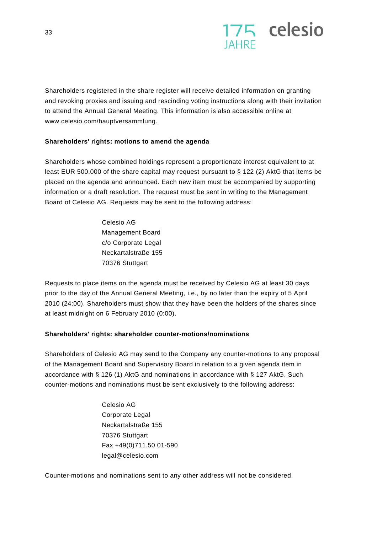

Shareholders registered in the share register will receive detailed information on granting and revoking proxies and issuing and rescinding voting instructions along with their invitation to attend the Annual General Meeting. This information is also accessible online at www.celesio.com/hauptversammlung.

## **Shareholders' rights: motions to amend the agenda**

Shareholders whose combined holdings represent a proportionate interest equivalent to at least EUR 500,000 of the share capital may request pursuant to § 122 (2) AktG that items be placed on the agenda and announced. Each new item must be accompanied by supporting information or a draft resolution. The request must be sent in writing to the Management Board of Celesio AG. Requests may be sent to the following address:

> Celesio AG Management Board c/o Corporate Legal Neckartalstraße 155 70376 Stuttgart

Requests to place items on the agenda must be received by Celesio AG at least 30 days prior to the day of the Annual General Meeting, i.e., by no later than the expiry of 5 April 2010 (24:00). Shareholders must show that they have been the holders of the shares since at least midnight on 6 February 2010 (0:00).

#### **Shareholders' rights: shareholder counter-motions/nominations**

Shareholders of Celesio AG may send to the Company any counter-motions to any proposal of the Management Board and Supervisory Board in relation to a given agenda item in accordance with § 126 (1) AktG and nominations in accordance with § 127 AktG. Such counter-motions and nominations must be sent exclusively to the following address:

> Celesio AG Corporate Legal Neckartalstraße 155 70376 Stuttgart Fax +49(0)711.50 01-590 legal@celesio.com

Counter-motions and nominations sent to any other address will not be considered.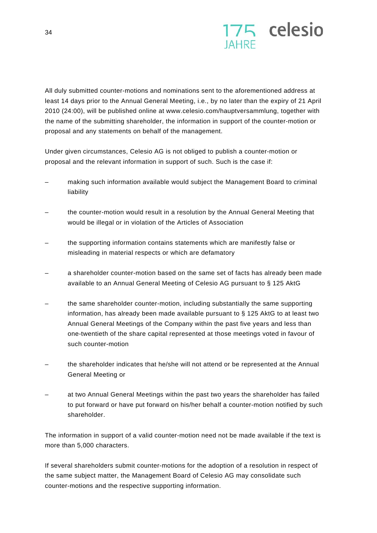

All duly submitted counter-motions and nominations sent to the aforementioned address at least 14 days prior to the Annual General Meeting, i.e., by no later than the expiry of 21 April 2010 (24:00), will be published online at www.celesio.com/hauptversammlung, together with the name of the submitting shareholder, the information in support of the counter-motion or proposal and any statements on behalf of the management.

Under given circumstances, Celesio AG is not obliged to publish a counter-motion or proposal and the relevant information in support of such. Such is the case if:

- making such information available would subject the Management Board to criminal liability
- the counter-motion would result in a resolution by the Annual General Meeting that would be illegal or in violation of the Articles of Association
- the supporting information contains statements which are manifestly false or misleading in material respects or which are defamatory
- a shareholder counter-motion based on the same set of facts has already been made available to an Annual General Meeting of Celesio AG pursuant to § 125 AktG
- the same shareholder counter-motion, including substantially the same supporting information, has already been made available pursuant to § 125 AktG to at least two Annual General Meetings of the Company within the past five years and less than one-twentieth of the share capital represented at those meetings voted in favour of such counter-motion
- the shareholder indicates that he/she will not attend or be represented at the Annual General Meeting or
- at two Annual General Meetings within the past two years the shareholder has failed to put forward or have put forward on his/her behalf a counter-motion notified by such shareholder.

The information in support of a valid counter-motion need not be made available if the text is more than 5,000 characters.

If several shareholders submit counter-motions for the adoption of a resolution in respect of the same subject matter, the Management Board of Celesio AG may consolidate such counter-motions and the respective supporting information.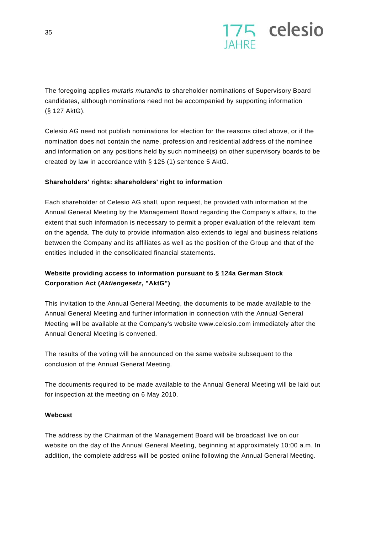

The foregoing applies *mutatis mutandis* to shareholder nominations of Supervisory Board candidates, although nominations need not be accompanied by supporting information (§ 127 AktG).

Celesio AG need not publish nominations for election for the reasons cited above, or if the nomination does not contain the name, profession and residential address of the nominee and information on any positions held by such nominee(s) on other supervisory boards to be created by law in accordance with § 125 (1) sentence 5 AktG.

## **Shareholders' rights: shareholders' right to information**

Each shareholder of Celesio AG shall, upon request, be provided with information at the Annual General Meeting by the Management Board regarding the Company's affairs, to the extent that such information is necessary to permit a proper evaluation of the relevant item on the agenda. The duty to provide information also extends to legal and business relations between the Company and its affiliates as well as the position of the Group and that of the entities included in the consolidated financial statements.

## **Website providing access to information pursuant to § 124a German Stock Corporation Act (***Aktiengesetz***, "AktG")**

This invitation to the Annual General Meeting, the documents to be made available to the Annual General Meeting and further information in connection with the Annual General Meeting will be available at the Company's website www.celesio.com immediately after the Annual General Meeting is convened.

The results of the voting will be announced on the same website subsequent to the conclusion of the Annual General Meeting.

The documents required to be made available to the Annual General Meeting will be laid out for inspection at the meeting on 6 May 2010.

## **Webcast**

The address by the Chairman of the Management Board will be broadcast live on our website on the day of the Annual General Meeting, beginning at approximately 10:00 a.m. In addition, the complete address will be posted online following the Annual General Meeting.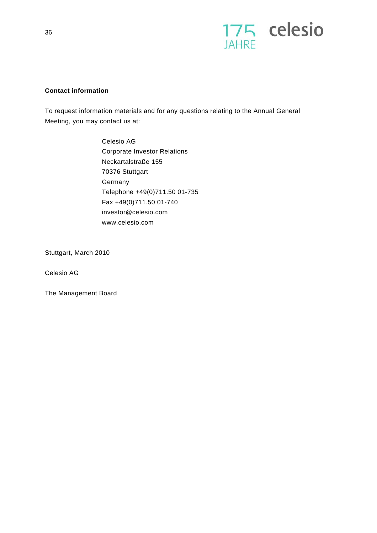

## **Contact information**

To request information materials and for any questions relating to the Annual General Meeting, you may contact us at:

> Celesio AG Corporate Investor Relations Neckartalstraße 155 70376 Stuttgart **Germany** Telephone +49(0)711.50 01-735 Fax +49(0)711.50 01-740 investor@celesio.com www.celesio.com

Stuttgart, March 2010

Celesio AG

The Management Board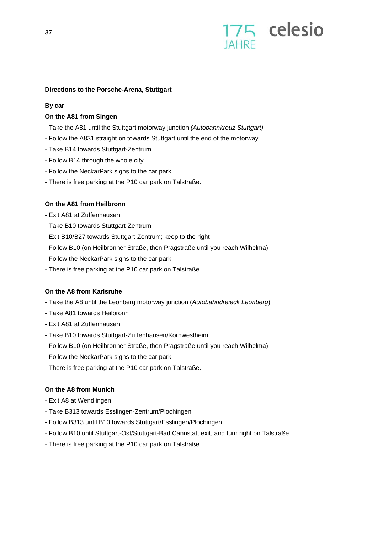

#### **Directions to the Porsche-Arena, Stuttgart**

#### **By car**

### **On the A81 from Singen**

- Take the A81 until the Stuttgart motorway junction *(Autobahnkreuz Stuttgart)*
- Follow the A831 straight on towards Stuttgart until the end of the motorway
- Take B14 towards Stuttgart-Zentrum
- Follow B14 through the whole city
- Follow the NeckarPark signs to the car park
- There is free parking at the P10 car park on Talstraße.

### **On the A81 from Heilbronn**

- Exit A81 at Zuffenhausen
- Take B10 towards Stuttgart-Zentrum
- Exit B10/B27 towards Stuttgart-Zentrum; keep to the right
- Follow B10 (on Heilbronner Straße, then Pragstraße until you reach Wilhelma)
- Follow the NeckarPark signs to the car park
- There is free parking at the P10 car park on Talstraße.

#### **On the A8 from Karlsruhe**

- Take the A8 until the Leonberg motorway junction (*Autobahndreieck Leonberg*)
- Take A81 towards Heilbronn
- Exit A81 at Zuffenhausen
- Take B10 towards Stuttgart-Zuffenhausen/Kornwestheim
- Follow B10 (on Heilbronner Straße, then Pragstraße until you reach Wilhelma)
- Follow the NeckarPark signs to the car park
- There is free parking at the P10 car park on Talstraße.

#### **On the A8 from Munich**

- Exit A8 at Wendlingen
- Take B313 towards Esslingen-Zentrum/Plochingen
- Follow B313 until B10 towards Stuttgart/Esslingen/Plochingen
- Follow B10 until Stuttgart-Ost/Stuttgart-Bad Cannstatt exit, and turn right on Talstraße
- There is free parking at the P10 car park on Talstraße.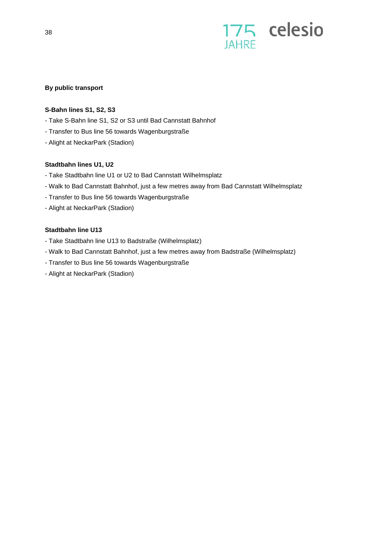

## **By public transport**

### **S-Bahn lines S1, S2, S3**

- Take S-Bahn line S1, S2 or S3 until Bad Cannstatt Bahnhof
- Transfer to Bus line 56 towards Wagenburgstraße
- Alight at NeckarPark (Stadion)

### **Stadtbahn lines U1, U2**

- Take Stadtbahn line U1 or U2 to Bad Cannstatt Wilhelmsplatz
- Walk to Bad Cannstatt Bahnhof, just a few metres away from Bad Cannstatt Wilhelmsplatz
- Transfer to Bus line 56 towards Wagenburgstraße
- Alight at NeckarPark (Stadion)

### **Stadtbahn line U13**

- Take Stadtbahn line U13 to Badstraße (Wilhelmsplatz)
- Walk to Bad Cannstatt Bahnhof, just a few metres away from Badstraße (Wilhelmsplatz)
- Transfer to Bus line 56 towards Wagenburgstraße
- Alight at NeckarPark (Stadion)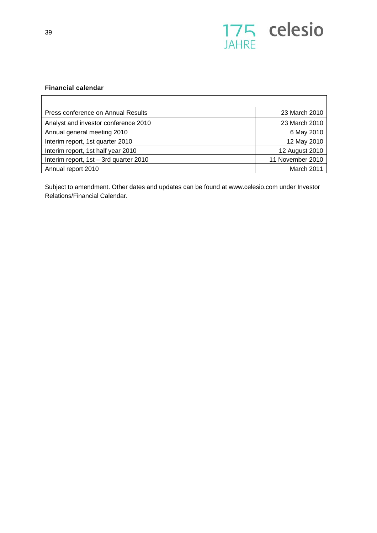

## **Financial calendar**

| Press conference on Annual Results       | 23 March 2010    |
|------------------------------------------|------------------|
| Analyst and investor conference 2010     | 23 March 2010    |
| Annual general meeting 2010              | 6 May 2010       |
| Interim report, 1st quarter 2010         | 12 May 2010      |
| Interim report, 1st half year 2010       | 12 August 2010   |
| Interim report, $1st - 3rd$ quarter 2010 | 11 November 2010 |
| Annual report 2010                       | March 2011       |

Subject to amendment. Other dates and updates can be found at www.celesio.com under Investor Relations/Financial Calendar.

 $\mathsf{r}$